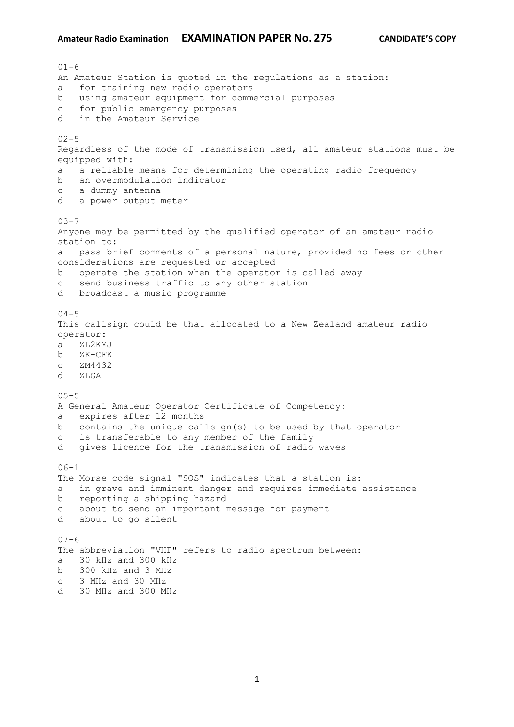$01 - 6$ An Amateur Station is quoted in the regulations as a station: a for training new radio operators b using amateur equipment for commercial purposes c for public emergency purposes d in the Amateur Service  $02 - 5$ Regardless of the mode of transmission used, all amateur stations must be equipped with: a a reliable means for determining the operating radio frequency b an overmodulation indicator c a dummy antenna d a power output meter  $03 - 7$ Anyone may be permitted by the qualified operator of an amateur radio station to: a pass brief comments of a personal nature, provided no fees or other considerations are requested or accepted b operate the station when the operator is called away c send business traffic to any other station d broadcast a music programme  $04 - 5$ This callsign could be that allocated to a New Zealand amateur radio operator: a ZL2KMJ b ZK-CFK c ZM4432 d ZLGA  $05 - 5$ A General Amateur Operator Certificate of Competency: a expires after 12 months b contains the unique callsign(s) to be used by that operator c is transferable to any member of the family d gives licence for the transmission of radio waves  $06-1$ The Morse code signal "SOS" indicates that a station is: a in grave and imminent danger and requires immediate assistance b reporting a shipping hazard c about to send an important message for payment d about to go silent  $07 - 6$ The abbreviation "VHF" refers to radio spectrum between: a 30 kHz and 300 kHz b 300 kHz and 3 MHz c 3 MHz and 30 MHz

d 30 MHz and 300 MHz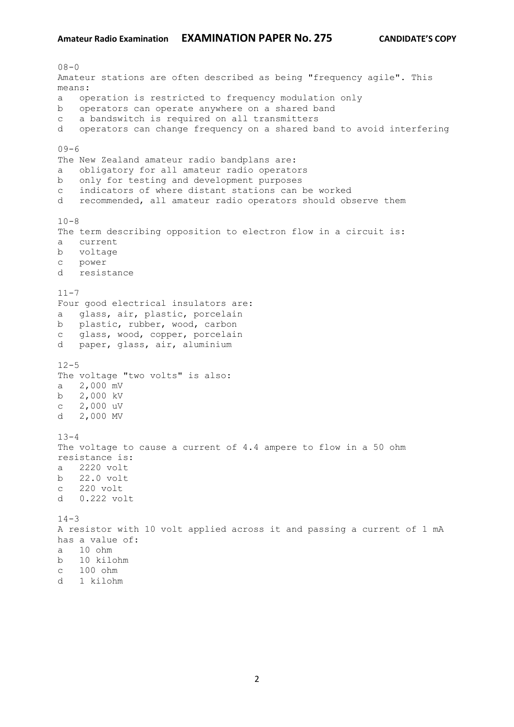$08 - 0$ Amateur stations are often described as being "frequency agile". This means: a operation is restricted to frequency modulation only b operators can operate anywhere on a shared band c a bandswitch is required on all transmitters d operators can change frequency on a shared band to avoid interfering  $09-6$ The New Zealand amateur radio bandplans are: a obligatory for all amateur radio operators b only for testing and development purposes c indicators of where distant stations can be worked d recommended, all amateur radio operators should observe them  $10-8$ The term describing opposition to electron flow in a circuit is: a current b voltage c power d resistance  $11 - 7$ Four good electrical insulators are: a glass, air, plastic, porcelain b plastic, rubber, wood, carbon c glass, wood, copper, porcelain d paper, glass, air, aluminium  $12 - 5$ The voltage "two volts" is also: a 2,000 mV b 2,000 kV c 2,000 uV d 2,000 MV  $13 - 4$ The voltage to cause a current of 4.4 ampere to flow in a 50 ohm resistance is: a 2220 volt b 22.0 volt c 220 volt d 0.222 volt  $14 - 3$ A resistor with 10 volt applied across it and passing a current of 1 mA has a value of: a 10 ohm b 10 kilohm c 100 ohm d 1 kilohm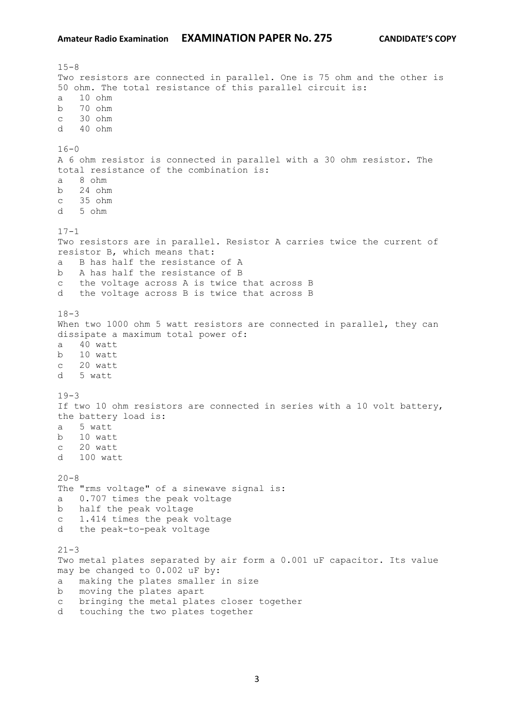$15 - 8$ Two resistors are connected in parallel. One is 75 ohm and the other is 50 ohm. The total resistance of this parallel circuit is: a 10 ohm b 70 ohm c 30 ohm d 40 ohm  $16 - 0$ A 6 ohm resistor is connected in parallel with a 30 ohm resistor. The total resistance of the combination is: a 8 ohm b 24 ohm c 35 ohm d 5 ohm  $17 - 1$ Two resistors are in parallel. Resistor A carries twice the current of resistor B, which means that: a B has half the resistance of A b A has half the resistance of B c the voltage across A is twice that across B d the voltage across B is twice that across B  $18 - 3$ When two 1000 ohm 5 watt resistors are connected in parallel, they can dissipate a maximum total power of: a 40 watt b 10 watt c 20 watt d 5 watt  $19-3$ If two 10 ohm resistors are connected in series with a 10 volt battery, the battery load is: a 5 watt b 10 watt c 20 watt d 100 watt  $20 - 8$ The "rms voltage" of a sinewave signal is: a 0.707 times the peak voltage b half the peak voltage c 1.414 times the peak voltage d the peak-to-peak voltage  $21 - 3$ Two metal plates separated by air form a 0.001 uF capacitor. Its value may be changed to 0.002 uF by: a making the plates smaller in size b moving the plates apart c bringing the metal plates closer together d touching the two plates together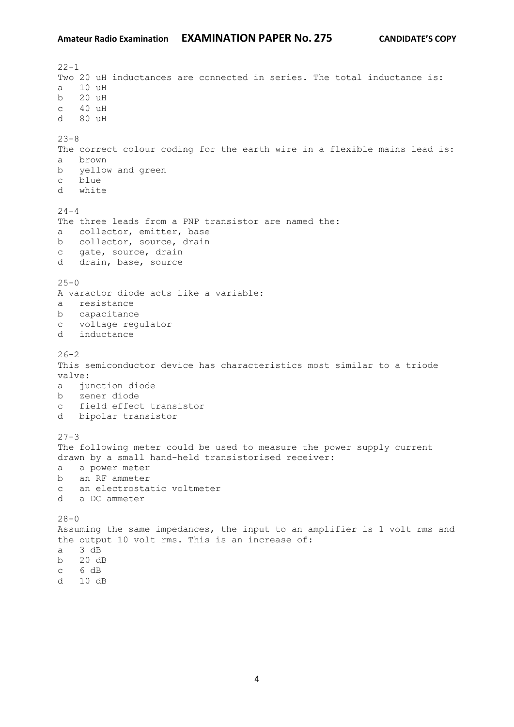$22 - 1$ Two 20 uH inductances are connected in series. The total inductance is: a 10 uH b 20 uH c 40 uH d 80 uH  $23 - 8$ The correct colour coding for the earth wire in a flexible mains lead is: a brown b yellow and green c blue d white  $24 - 4$ The three leads from a PNP transistor are named the: a collector, emitter, base b collector, source, drain c gate, source, drain d drain, base, source  $25 - 0$ A varactor diode acts like a variable: a resistance b capacitance c voltage regulator d inductance  $26 - 2$ This semiconductor device has characteristics most similar to a triode valve: a junction diode b zener diode c field effect transistor d bipolar transistor  $27 - 3$ The following meter could be used to measure the power supply current drawn by a small hand-held transistorised receiver: a a power meter b an RF ammeter c an electrostatic voltmeter d a DC ammeter  $28 - 0$ Assuming the same impedances, the input to an amplifier is 1 volt rms and the output 10 volt rms. This is an increase of: a 3 dB b 20 dB c 6 dB d 10 dB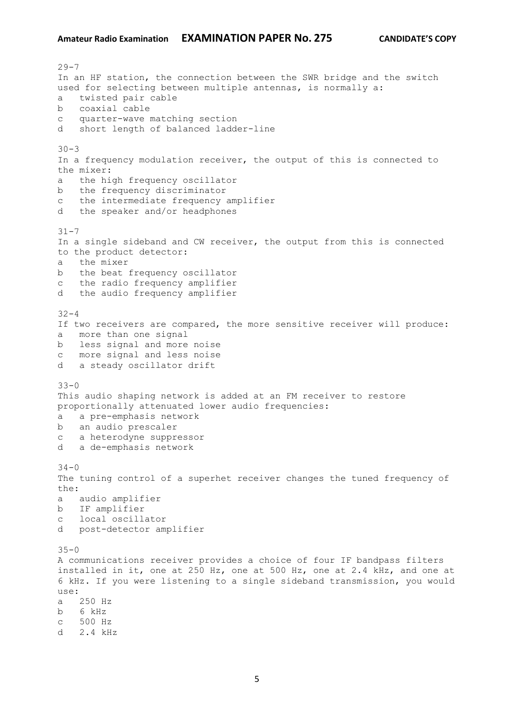$29 - 7$ In an HF station, the connection between the SWR bridge and the switch used for selecting between multiple antennas, is normally a: a twisted pair cable b coaxial cable c quarter-wave matching section d short length of balanced ladder-line  $30 - 3$ In a frequency modulation receiver, the output of this is connected to the mixer: a the high frequency oscillator b the frequency discriminator c the intermediate frequency amplifier d the speaker and/or headphones  $31 - 7$ In a single sideband and CW receiver, the output from this is connected to the product detector: a the mixer b the beat frequency oscillator c the radio frequency amplifier d the audio frequency amplifier  $32 - 4$ If two receivers are compared, the more sensitive receiver will produce: a more than one signal b less signal and more noise c more signal and less noise d a steady oscillator drift  $33 - 0$ This audio shaping network is added at an FM receiver to restore proportionally attenuated lower audio frequencies: a a pre-emphasis network b an audio prescaler c a heterodyne suppressor d a de-emphasis network  $34 - 0$ The tuning control of a superhet receiver changes the tuned frequency of the: a audio amplifier b IF amplifier c local oscillator d post-detector amplifier  $35 - 0$ A communications receiver provides a choice of four IF bandpass filters installed in it, one at 250 Hz, one at 500 Hz, one at 2.4 kHz, and one at 6 kHz. If you were listening to a single sideband transmission, you would use: a 250 Hz b 6 kHz c 500 Hz d 2.4 kHz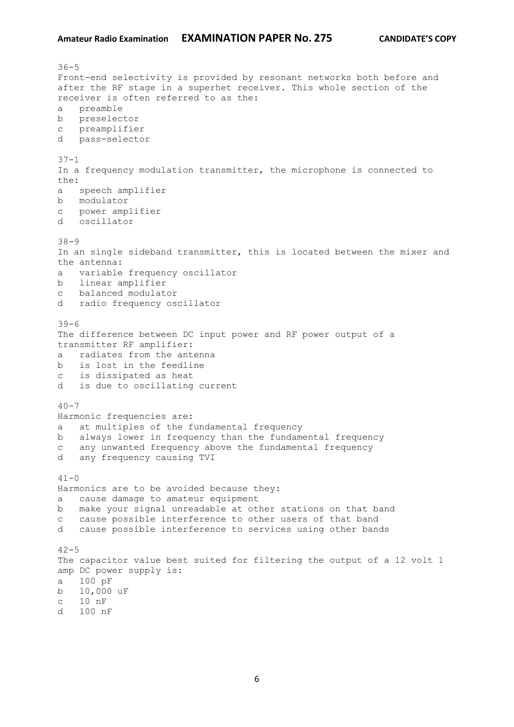$36 - 5$ Front-end selectivity is provided by resonant networks both before and after the RF stage in a superhet receiver. This whole section of the receiver is often referred to as the: a preamble b preselector c preamplifier d pass-selector 37-1 In a frequency modulation transmitter, the microphone is connected to the: a speech amplifier b modulator c power amplifier d oscillator 38-9 In an single sideband transmitter, this is located between the mixer and the antenna: a variable frequency oscillator b linear amplifier c balanced modulator d radio frequency oscillator 39-6 The difference between DC input power and RF power output of a transmitter RF amplifier: a radiates from the antenna b is lost in the feedline c is dissipated as heat d is due to oscillating current  $40 - 7$ Harmonic frequencies are: a at multiples of the fundamental frequency b always lower in frequency than the fundamental frequency c any unwanted frequency above the fundamental frequency d any frequency causing TVI  $41 - 0$ Harmonics are to be avoided because they: a cause damage to amateur equipment b make your signal unreadable at other stations on that band c cause possible interference to other users of that band d cause possible interference to services using other bands  $42 - 5$ The capacitor value best suited for filtering the output of a 12 volt 1 amp DC power supply is: a 100 pF b 10,000 uF c 10 nF d 100 nF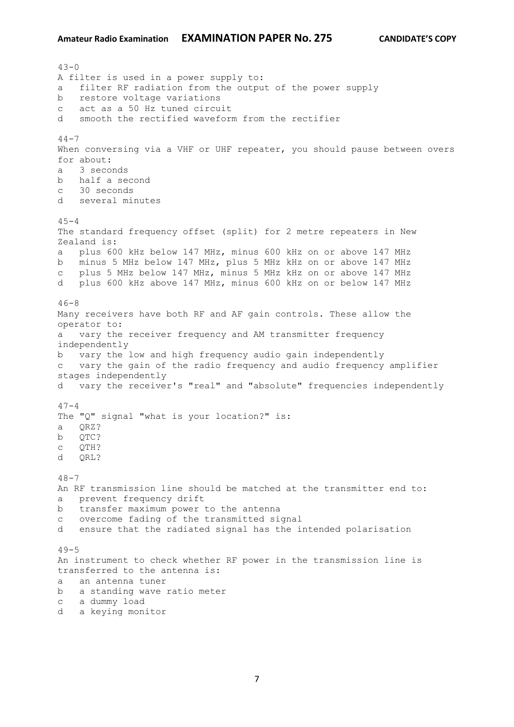$43 - 0$ A filter is used in a power supply to: a filter RF radiation from the output of the power supply b restore voltage variations c act as a 50 Hz tuned circuit d smooth the rectified waveform from the rectifier  $44 - 7$ When conversing via a VHF or UHF repeater, you should pause between overs for about: a 3 seconds b half a second c 30 seconds d several minutes  $45 - 4$ The standard frequency offset (split) for 2 metre repeaters in New Zealand is: a plus 600 kHz below 147 MHz, minus 600 kHz on or above 147 MHz b minus 5 MHz below 147 MHz, plus 5 MHz kHz on or above 147 MHz c plus 5 MHz below 147 MHz, minus 5 MHz kHz on or above 147 MHz d plus 600 kHz above 147 MHz, minus 600 kHz on or below 147 MHz  $46 - 8$ Many receivers have both RF and AF gain controls. These allow the operator to: a vary the receiver frequency and AM transmitter frequency independently b vary the low and high frequency audio gain independently c vary the gain of the radio frequency and audio frequency amplifier stages independently d vary the receiver's "real" and "absolute" frequencies independently  $47 - 4$ The "Q" signal "what is your location?" is: a QRZ? b QTC? c QTH? d QRL?  $48 - 7$ An RF transmission line should be matched at the transmitter end to: a prevent frequency drift b transfer maximum power to the antenna c overcome fading of the transmitted signal d ensure that the radiated signal has the intended polarisation  $49 - 5$ An instrument to check whether RF power in the transmission line is transferred to the antenna is: a an antenna tuner b a standing wave ratio meter c a dummy load d a keying monitor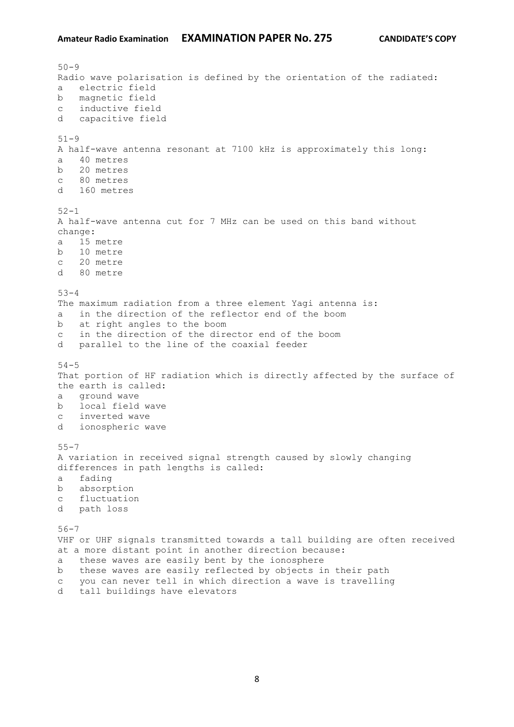```
50 - 9Radio wave polarisation is defined by the orientation of the radiated:
a electric field
b magnetic field
c inductive field
d capacitive field
51-9
A half-wave antenna resonant at 7100 kHz is approximately this long:
a 40 metres
b 20 metres
c 80 metres
d 160 metres
52 - 1A half-wave antenna cut for 7 MHz can be used on this band without 
change:
a 15 metre
b 10 metre
c 20 metre
d 80 metre
53 - 4The maximum radiation from a three element Yagi antenna is:
a in the direction of the reflector end of the boom
b at right angles to the boom
c in the direction of the director end of the boom
d parallel to the line of the coaxial feeder
54 - 5That portion of HF radiation which is directly affected by the surface of 
the earth is called:
a ground wave
b local field wave
c inverted wave
d ionospheric wave
55 - 7A variation in received signal strength caused by slowly changing 
differences in path lengths is called:
a fading
b absorption
c fluctuation
d path loss
56-7
VHF or UHF signals transmitted towards a tall building are often received 
at a more distant point in another direction because:
a these waves are easily bent by the ionosphere
b these waves are easily reflected by objects in their path
c you can never tell in which direction a wave is travelling
d tall buildings have elevators
```